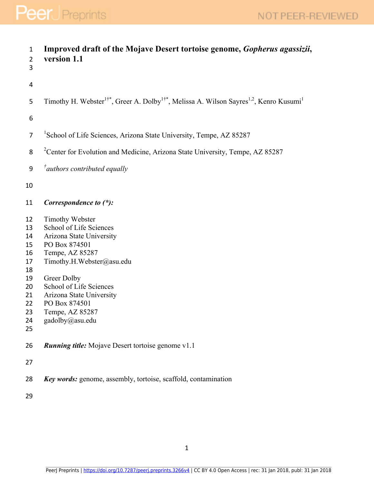| $\mathbf{1}$<br>$\overline{2}$<br>3                                              | Improved draft of the Mojave Desert tortoise genome, Gopherus agassizii,<br>version 1.1                                                                                                                                                                              |
|----------------------------------------------------------------------------------|----------------------------------------------------------------------------------------------------------------------------------------------------------------------------------------------------------------------------------------------------------------------|
| $\overline{\mathbf{4}}$                                                          |                                                                                                                                                                                                                                                                      |
| 5                                                                                | Timothy H. Webster <sup>1†*</sup> , Greer A. Dolby <sup>1†*</sup> , Melissa A. Wilson Sayres <sup>1,2</sup> , Kenro Kusumi <sup>1</sup>                                                                                                                              |
| 6                                                                                |                                                                                                                                                                                                                                                                      |
| $\overline{7}$                                                                   | <sup>1</sup> School of Life Sciences, Arizona State University, Tempe, AZ 85287                                                                                                                                                                                      |
| 8                                                                                | <sup>2</sup> Center for Evolution and Medicine, Arizona State University, Tempe, AZ 85287                                                                                                                                                                            |
| 9                                                                                | $\phi^{\dagger}$ authors contributed equally                                                                                                                                                                                                                         |
| 10                                                                               |                                                                                                                                                                                                                                                                      |
| 11                                                                               | Correspondence to (*):                                                                                                                                                                                                                                               |
| 12<br>13<br>14<br>15<br>16<br>17<br>18<br>19<br>20<br>21<br>22<br>23<br>24<br>25 | Timothy Webster<br>School of Life Sciences<br>Arizona State University<br>PO Box 874501<br>Tempe, AZ 85287<br>Timothy.H.Webster@asu.edu<br>Greer Dolby<br>School of Life Sciences<br>Arizona State University<br>PO Box 874501<br>Tempe, AZ 85287<br>gadolby@asu.edu |
| 26                                                                               | <b>Running title:</b> Mojave Desert tortoise genome v1.1                                                                                                                                                                                                             |
| 27                                                                               |                                                                                                                                                                                                                                                                      |
| 28                                                                               | <b>Key words:</b> genome, assembly, tortoise, scaffold, contamination                                                                                                                                                                                                |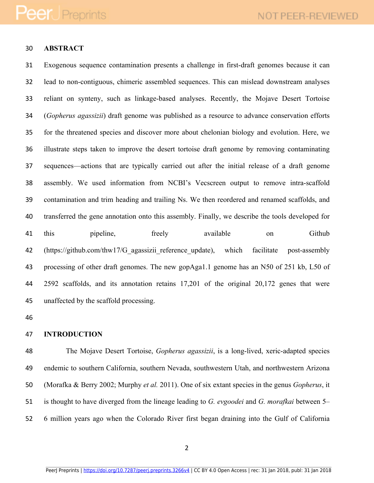### **ABSTRACT**

 Exogenous sequence contamination presents a challenge in first-draft genomes because it can lead to non-contiguous, chimeric assembled sequences. This can mislead downstream analyses reliant on synteny, such as linkage-based analyses. Recently, the Mojave Desert Tortoise (*Gopherus agassizii*) draft genome was published as a resource to advance conservation efforts for the threatened species and discover more about chelonian biology and evolution. Here, we illustrate steps taken to improve the desert tortoise draft genome by removing contaminating sequences—actions that are typically carried out after the initial release of a draft genome assembly. We used information from NCBI's Vecscreen output to remove intra-scaffold contamination and trim heading and trailing Ns. We then reordered and renamed scaffolds, and transferred the gene annotation onto this assembly. Finally, we describe the tools developed for 41 this pipeline, freely available on Github 42 (https://github.com/thw17/G agassizii reference update), which facilitate post-assembly processing of other draft genomes. The new gopAga1.1 genome has an N50 of 251 kb, L50 of 2592 scaffolds, and its annotation retains 17,201 of the original 20,172 genes that were unaffected by the scaffold processing.

#### **INTRODUCTION**

 The Mojave Desert Tortoise, *Gopherus agassizii*, is a long-lived, xeric-adapted species endemic to southern California, southern Nevada, southwestern Utah, and northwestern Arizona (Morafka & Berry 2002; Murphy *et al.* 2011). One of six extant species in the genus *Gopherus*, it is thought to have diverged from the lineage leading to *G. evgoodei* and *G. morafkai* between 5– 6 million years ago when the Colorado River first began draining into the Gulf of California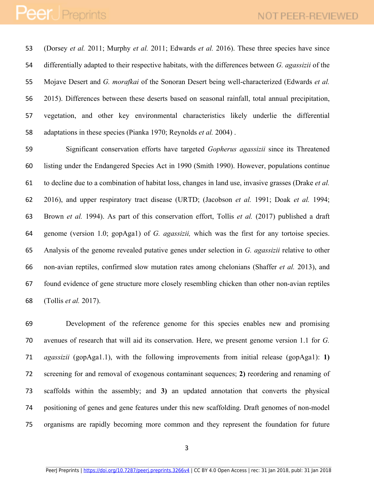(Dorsey *et al.* 2011; Murphy *et al.* 2011; Edwards *et al.* 2016). These three species have since differentially adapted to their respective habitats, with the differences between *G. agassizii* of the Mojave Desert and *G. morafkai* of the Sonoran Desert being well-characterized (Edwards *et al.* 2015). Differences between these deserts based on seasonal rainfall, total annual precipitation, vegetation, and other key environmental characteristics likely underlie the differential adaptations in these species (Pianka 1970; Reynolds *et al.* 2004) .

 Significant conservation efforts have targeted *Gopherus agassizii* since its Threatened listing under the Endangered Species Act in 1990 (Smith 1990). However, populations continue to decline due to a combination of habitat loss, changes in land use, invasive grasses (Drake *et al.* 2016), and upper respiratory tract disease (URTD; (Jacobson *et al.* 1991; Doak *et al.* 1994; Brown *et al.* 1994). As part of this conservation effort, Tollis *et al.* (2017) published a draft genome (version 1.0; gopAga1) of *G. agassizii,* which was the first for any tortoise species. Analysis of the genome revealed putative genes under selection in *G. agassizii* relative to other non-avian reptiles, confirmed slow mutation rates among chelonians (Shaffer *et al.* 2013), and found evidence of gene structure more closely resembling chicken than other non-avian reptiles (Tollis *et al.* 2017).

 Development of the reference genome for this species enables new and promising avenues of research that will aid its conservation. Here, we present genome version 1.1 for *G. agassizii* (gopAga1.1), with the following improvements from initial release (gopAga1): **1)** screening for and removal of exogenous contaminant sequences; **2)** reordering and renaming of scaffolds within the assembly; and **3)** an updated annotation that converts the physical positioning of genes and gene features under this new scaffolding. Draft genomes of non-model organisms are rapidly becoming more common and they represent the foundation for future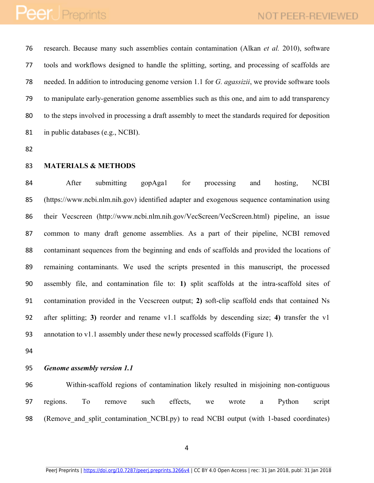research. Because many such assemblies contain contamination (Alkan *et al.* 2010), software tools and workflows designed to handle the splitting, sorting, and processing of scaffolds are needed. In addition to introducing genome version 1.1 for *G. agassizii*, we provide software tools to manipulate early-generation genome assemblies such as this one, and aim to add transparency to the steps involved in processing a draft assembly to meet the standards required for deposition in public databases (e.g., NCBI).

- 
- **MATERIALS & METHODS**

 After submitting gopAga1 for processing and hosting, NCBI (https://www.ncbi.nlm.nih.gov) identified adapter and exogenous sequence contamination using their Vecscreen (http://www.ncbi.nlm.nih.gov/VecScreen/VecScreen.html) pipeline, an issue common to many draft genome assemblies. As a part of their pipeline, NCBI removed contaminant sequences from the beginning and ends of scaffolds and provided the locations of remaining contaminants. We used the scripts presented in this manuscript, the processed assembly file, and contamination file to: **1)** split scaffolds at the intra-scaffold sites of contamination provided in the Vecscreen output; **2)** soft-clip scaffold ends that contained Ns after splitting; **3)** reorder and rename v1.1 scaffolds by descending size; **4)** transfer the v1 annotation to v1.1 assembly under these newly processed scaffolds (Figure 1).

#### *Genome assembly version 1.1*

 Within-scaffold regions of contamination likely resulted in misjoining non-contiguous regions. To remove such effects, we wrote a Python script 98 (Remove and split contamination NCBI.py) to read NCBI output (with 1-based coordinates)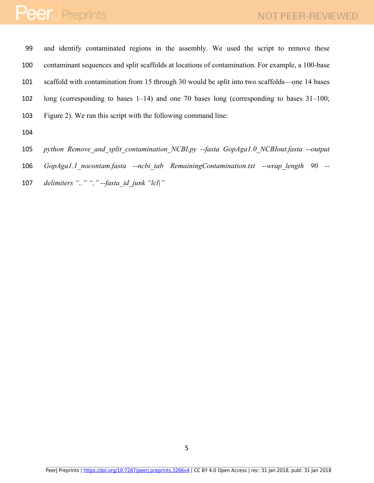and identify contaminated regions in the assembly. We used the script to remove these contaminant sequences and split scaffolds at locations of contamination. For example, a 100-base scaffold with contamination from 15 through 30 would be split into two scaffolds—one 14 bases long (corresponding to bases 1–14) and one 70 bases long (corresponding to bases 31–100; Figure 2). We ran this script with the following command line:

*python Remove\_and\_split\_contamination\_NCBI.py --fasta GopAga1.0\_NCBIout.fasta --output* 

*GopAga1.1\_nocontam.fasta --ncbi\_tab RemainingContamination.txt --wrap\_length 90 --*

*delimiters ".." "," --fasta\_id\_junk "lcl|"*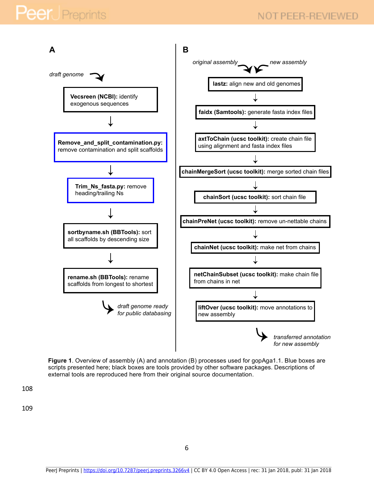

**Figure 1**. Overview of assembly (A) and annotation (B) processes used for gopAga1.1. Blue boxes are scripts presented here; black boxes are tools provided by other software packages. Descriptions of external tools are reproduced here from their original source documentation.

108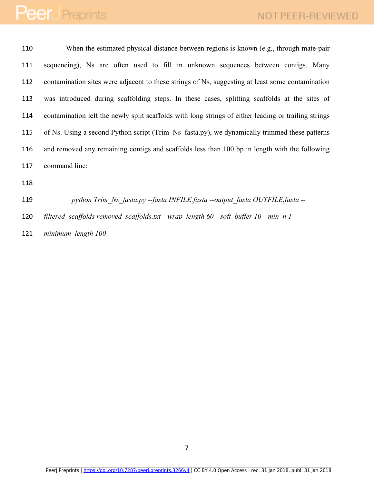When the estimated physical distance between regions is known (e.g., through mate-pair sequencing), Ns are often used to fill in unknown sequences between contigs. Many contamination sites were adjacent to these strings of Ns, suggesting at least some contamination was introduced during scaffolding steps. In these cases, splitting scaffolds at the sites of contamination left the newly split scaffolds with long strings of either leading or trailing strings of Ns. Using a second Python script (Trim\_Ns\_fasta.py), we dynamically trimmed these patterns and removed any remaining contigs and scaffolds less than 100 bp in length with the following command line:

 *python Trim\_Ns\_fasta.py --fasta INFILE.fasta --output\_fasta OUTFILE.fasta -- filtered\_scaffolds removed\_scaffolds.txt --wrap\_length 60 --soft\_buffer 10 --min\_n 1 -- minimum\_length 100*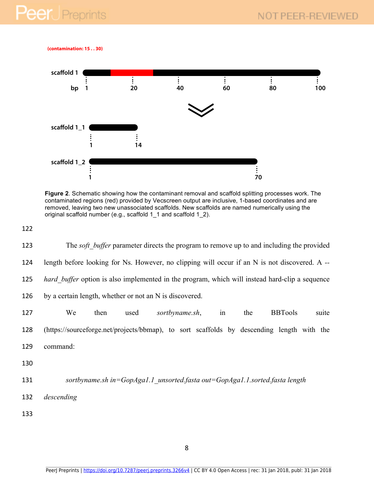**(contamination: 15 . . 30)**



**Figure 2**. Schematic showing how the contaminant removal and scaffold splitting processes work. The contaminated regions (red) provided by Vecscreen output are inclusive, 1-based coordinates and are removed, leaving two new unassociated scaffolds. New scaffolds are named numerically using the original scaffold number (e.g., scaffold 1\_1 and scaffold 1\_2).

```
122
```

| 123 | The <i>soft</i> buffer parameter directs the program to remove up to and including the provided       |
|-----|-------------------------------------------------------------------------------------------------------|
| 124 | length before looking for Ns. However, no clipping will occur if an N is not discovered. A --         |
| 125 | <i>hard buffer</i> option is also implemented in the program, which will instead hard-clip a sequence |
| 126 | by a certain length, whether or not an N is discovered.                                               |
| 127 | We<br><b>BBTools</b><br>then<br>sortbyname.sh,<br>the<br>suite<br>used<br>in                          |
| 128 | (https://sourceforge.net/projects/bbmap), to sort scaffolds by descending length with the             |
| 129 | command:                                                                                              |
| 130 |                                                                                                       |
| 131 | sortbyname.sh in=GopAga1.1 unsorted.fasta out=GopAga1.1.sorted.fasta length                           |
| 132 | descending                                                                                            |
| 133 |                                                                                                       |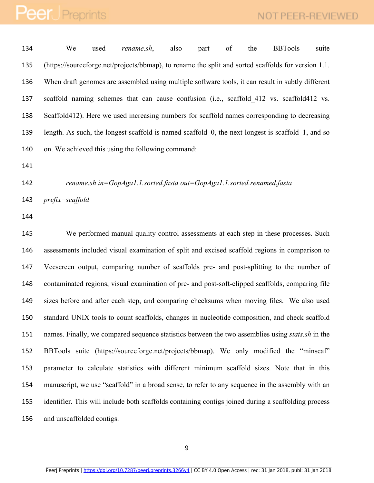We used *rename.sh*, also part of the BBTools suite (https://sourceforge.net/projects/bbmap), to rename the split and sorted scaffolds for version 1.1. When draft genomes are assembled using multiple software tools, it can result in subtly different 137 scaffold naming schemes that can cause confusion (i.e., scaffold 412 vs. scaffold412 vs. Scaffold412). Here we used increasing numbers for scaffold names corresponding to decreasing length. As such, the longest scaffold is named scaffold\_0, the next longest is scaffold\_1, and so on. We achieved this using the following command:

*rename.sh in=GopAga1.1.sorted.fasta out=GopAga1.1.sorted.renamed.fasta* 

*prefix=scaffold*

 We performed manual quality control assessments at each step in these processes. Such assessments included visual examination of split and excised scaffold regions in comparison to Vecscreen output, comparing number of scaffolds pre- and post-splitting to the number of contaminated regions, visual examination of pre- and post-soft-clipped scaffolds, comparing file sizes before and after each step, and comparing checksums when moving files. We also used standard UNIX tools to count scaffolds, changes in nucleotide composition, and check scaffold names. Finally, we compared sequence statistics between the two assemblies using *stats.sh* in the BBTools suite (https://sourceforge.net/projects/bbmap). We only modified the "minscaf" parameter to calculate statistics with different minimum scaffold sizes. Note that in this manuscript, we use "scaffold" in a broad sense, to refer to any sequence in the assembly with an identifier. This will include both scaffolds containing contigs joined during a scaffolding process and unscaffolded contigs.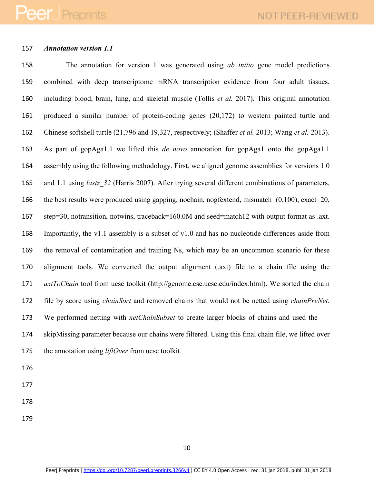### *Annotation version 1.1*

 The annotation for version 1 was generated using *ab initio* gene model predictions combined with deep transcriptome mRNA transcription evidence from four adult tissues, including blood, brain, lung, and skeletal muscle (Tollis *et al.* 2017). This original annotation produced a similar number of protein-coding genes (20,172) to western painted turtle and Chinese softshell turtle (21,796 and 19,327, respectively; (Shaffer *et al.* 2013; Wang *et al.* 2013). As part of gopAga1.1 we lifted this *de novo* annotation for gopAga1 onto the gopAga1.1 assembly using the following methodology. First, we aligned genome assemblies for versions 1.0 and 1.1 using *lastz\_32* (Harris 2007). After trying several different combinations of parameters, 166 the best results were produced using gapping, nochain, nogfextend, mismatch=(0,100), exact=20, step=30, notransition, notwins, traceback=160.0M and seed=match12 with output format as .axt. Importantly, the v1.1 assembly is a subset of v1.0 and has no nucleotide differences aside from the removal of contamination and training Ns, which may be an uncommon scenario for these alignment tools. We converted the output alignment (.axt) file to a chain file using the *axtToChain* tool from ucsc toolkit (http://genome.cse.ucsc.edu/index.html). We sorted the chain file by score using *chainSort* and removed chains that would not be netted using *chainPreNet.*  We performed netting with *netChainSubset* to create larger blocks of chains and used the – skipMissing parameter because our chains were filtered. Using this final chain file, we lifted over the annotation using *liftOver* from ucsc toolkit.

- 
- 
- 
-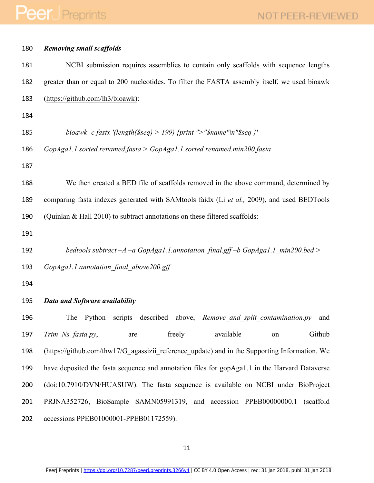| 180 | <b>Removing small scaffolds</b>                                                               |  |  |
|-----|-----------------------------------------------------------------------------------------------|--|--|
| 181 | NCBI submission requires assemblies to contain only scaffolds with sequence lengths           |  |  |
| 182 | greater than or equal to 200 nucleotides. To filter the FASTA assembly itself, we used bioawk |  |  |
| 183 | (https://github.com/lh3/bioawk):                                                              |  |  |
| 184 |                                                                                               |  |  |
| 185 | bioawk -c fastx '(length(\$seq) > 199) {print "> "\$name"\n"\$seq }'                          |  |  |
| 186 | $GopAgal.1$ .sorted.renamed.fasta > $GopAgal.1$ .sorted.renamed.min200.fasta                  |  |  |
| 187 |                                                                                               |  |  |
| 188 | We then created a BED file of scaffolds removed in the above command, determined by           |  |  |
| 189 | comparing fasta indexes generated with SAMtools faidx (Li et al., 2009), and used BEDTools    |  |  |
| 190 | (Quinlan & Hall 2010) to subtract annotations on these filtered scaffolds:                    |  |  |
| 191 |                                                                                               |  |  |
| 192 | bedtools subtract $-A$ $-a$ GopAga1.1.annotation final.gff $-b$ GopAga1.1 min200.bed >        |  |  |
| 193 | GopAga1.1.annotation final above200.gff                                                       |  |  |
| 194 |                                                                                               |  |  |
| 195 | <b>Data and Software availability</b>                                                         |  |  |
| 196 | The Python scripts described above, <i>Remove and split contamination.py</i> and              |  |  |
| 197 | freely<br>available<br>Github<br>Trim Ns fasta.py,<br>are<br>on                               |  |  |
| 198 | (https://github.com/thw17/G agassizii reference update) and in the Supporting Information. We |  |  |
| 199 | have deposited the fasta sequence and annotation files for gopAga1.1 in the Harvard Dataverse |  |  |
| 200 | (doi:10.7910/DVN/HUASUW). The fasta sequence is available on NCBI under BioProject            |  |  |
| 201 | PRJNA352726, BioSample SAMN05991319, and accession PPEB00000000.1<br>(scaffold)               |  |  |
| 202 | accessions PPEB01000001-PPEB01172559).                                                        |  |  |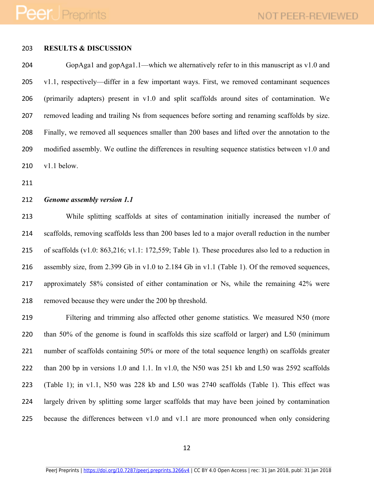### **RESULTS & DISCUSSION**

 GopAga1 and gopAga1.1—which we alternatively refer to in this manuscript as v1.0 and v1.1, respectively—differ in a few important ways. First, we removed contaminant sequences (primarily adapters) present in v1.0 and split scaffolds around sites of contamination. We removed leading and trailing Ns from sequences before sorting and renaming scaffolds by size. Finally, we removed all sequences smaller than 200 bases and lifted over the annotation to the modified assembly. We outline the differences in resulting sequence statistics between v1.0 and v1.1 below.

### *Genome assembly version 1.1*

 While splitting scaffolds at sites of contamination initially increased the number of scaffolds, removing scaffolds less than 200 bases led to a major overall reduction in the number of scaffolds (v1.0: 863,216; v1.1: 172,559; Table 1). These procedures also led to a reduction in assembly size, from 2.399 Gb in v1.0 to 2.184 Gb in v1.1 (Table 1). Of the removed sequences, approximately 58% consisted of either contamination or Ns, while the remaining 42% were removed because they were under the 200 bp threshold.

 Filtering and trimming also affected other genome statistics. We measured N50 (more than 50% of the genome is found in scaffolds this size scaffold or larger) and L50 (minimum number of scaffolds containing 50% or more of the total sequence length) on scaffolds greater than 200 bp in versions 1.0 and 1.1. In v1.0, the N50 was 251 kb and L50 was 2592 scaffolds (Table 1); in v1.1, N50 was 228 kb and L50 was 2740 scaffolds (Table 1). This effect was largely driven by splitting some larger scaffolds that may have been joined by contamination because the differences between v1.0 and v1.1 are more pronounced when only considering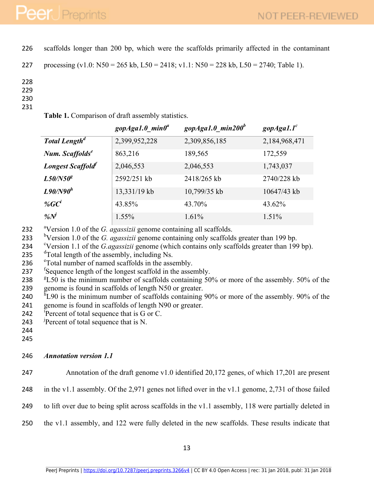226 scaffolds longer than 200 bp, which were the scaffolds primarily affected in the contaminant

```
227 processing (v1.0: N50 = 265 kb, L50 = 2418; v1.1: N50 = 228 kb, L50 = 2740; Table 1).
```
228

- 229
- 230
- 231

|  |  | Table 1. Comparison of draft assembly statistics. |  |  |  |
|--|--|---------------------------------------------------|--|--|--|
|--|--|---------------------------------------------------|--|--|--|

|                                  | gopAga1.0 $min\theta^a$ | gopAga1.0 min200 $^b$ | gopAgal.1 <sup>c</sup> |
|----------------------------------|-------------------------|-----------------------|------------------------|
| <b>Total Length<sup>d</sup></b>  | 2,399,952,228           | 2,309,856,185         | 2,184,968,471          |
| Num. Scaffolds <sup>e</sup>      | 863,216                 | 189,565               | 172,559                |
| Longest Scaffold                 | 2,046,553               | 2,046,553             | 1,743,037              |
| $L50/N50^g$                      | 2592/251 kb             | 2418/265 kb           | 2740/228 kb            |
| $L90/N90^h$                      | 13,331/19 kb            | 10,799/35 kb          | 10647/43 kb            |
| % $G C^i$                        | 43.85%                  | 43.70%                | 43.62%                 |
| $\frac{\partial}{\partial t}N^j$ | 1.55%                   | 1.61%                 | 1.51%                  |

- <sup>a</sup> 232 Version 1.0 of the *G. agassizii* genome containing all scaffolds.
- 
- 233 bVersion 1.0 of the *G. agassizii* genome containing only scaffolds greater than 199 bp.<br>234 bVersion 1.1 of the *G. agassizii* genome (which contains only scaffolds greater than 199 bp).<br>235 dTotal length of the asse
- 
- 236 <sup>e</sup> Total number of named scaffolds in the assembly.
- 237 Sequence length of the longest scaffold in the assembly.
- 238 <sup>g</sup>L50 is the minimum number of scaffolds containing 50% or more of the assembly. 50% of the 239 genome is found in scaffolds of length N50 or greater.
- 240  $\text{h}$  L90 is the minimum number of scaffolds containing 90% or more of the assembly. 90% of the 241 genome is found in scaffolds of length N90 or greater.
- 242 Percent of total sequence that is  $G$  or  $C$ .
- 243 Percent of total sequence that is N.
- 244
- 245

### 246 *Annotation version 1.1*

247 Annotation of the draft genome v1.0 identified 20,172 genes, of which 17,201 are present

- 248 in the v1.1 assembly. Of the 2,971 genes not lifted over in the v1.1 genome, 2,731 of those failed
- 249 to lift over due to being split across scaffolds in the v1.1 assembly, 118 were partially deleted in
- 250 the v1.1 assembly, and 122 were fully deleted in the new scaffolds. These results indicate that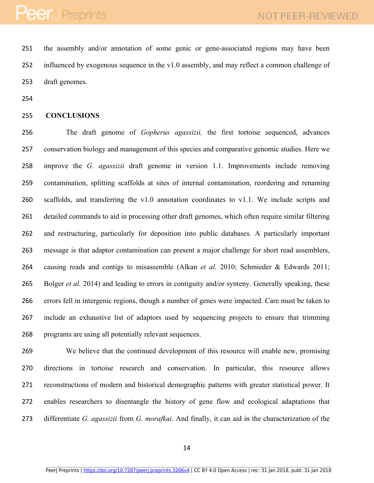the assembly and/or annotation of some genic or gene-associated regions may have been influenced by exogenous sequence in the v1.0 assembly, and may reflect a common challenge of draft genomes.

#### **CONCLUSIONS**

 The draft genome of *Gopherus agassizii,* the first tortoise sequenced, advances conservation biology and management of this species and comparative genomic studies. Here we improve the *G. agassizii* draft genome in version 1.1. Improvements include removing contamination, splitting scaffolds at sites of internal contamination, reordering and renaming scaffolds, and transferring the v1.0 annotation coordinates to v1.1. We include scripts and detailed commands to aid in processing other draft genomes, which often require similar filtering and restructuring, particularly for deposition into public databases. A particularly important message is that adaptor contamination can present a major challenge for short read assemblers, causing reads and contigs to misassemble (Alkan *et al.* 2010; Schmieder & Edwards 2011; Bolger *et al.* 2014) and leading to errors in contiguity and/or synteny. Generally speaking, these errors fell in intergenic regions, though a number of genes were impacted. Care must be taken to include an exhaustive list of adaptors used by sequencing projects to ensure that trimming programs are using all potentially relevant sequences.

 We believe that the continued development of this resource will enable new, promising directions in tortoise research and conservation. In particular, this resource allows reconstructions of modern and historical demographic patterns with greater statistical power. It enables researchers to disentangle the history of gene flow and ecological adaptations that differentiate *G. agassizii* from *G. morafkai*. And finally, it can aid in the characterization of the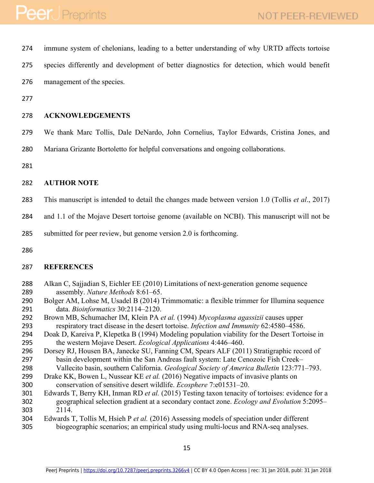| 274        | immune system of chelonians, leading to a better understanding of why URTD affects tortoise                                     |
|------------|---------------------------------------------------------------------------------------------------------------------------------|
| 275        | species differently and development of better diagnostics for detection, which would benefit                                    |
| 276        | management of the species.                                                                                                      |
| 277        |                                                                                                                                 |
| 278        | <b>ACKNOWLEDGEMENTS</b>                                                                                                         |
| 279        | We thank Marc Tollis, Dale DeNardo, John Cornelius, Taylor Edwards, Cristina Jones, and                                         |
| 280        | Mariana Grizante Bortoletto for helpful conversations and ongoing collaborations.                                               |
| 281        |                                                                                                                                 |
| 282        | <b>AUTHOR NOTE</b>                                                                                                              |
| 283        | This manuscript is intended to detail the changes made between version 1.0 (Tollis et al., 2017)                                |
| 284        | and 1.1 of the Mojave Desert tortoise genome (available on NCBI). This manuscript will not be                                   |
| 285        | submitted for peer review, but genome version 2.0 is forthcoming.                                                               |
| 286        |                                                                                                                                 |
| 287        | <b>REFERENCES</b>                                                                                                               |
| 288<br>289 | Alkan C, Sajjadian S, Eichler EE (2010) Limitations of next-generation genome sequence<br>assembly. Nature Methods 8:61-65.     |
| 290<br>291 | Bolger AM, Lohse M, Usadel B (2014) Trimmomatic: a flexible trimmer for Illumina sequence<br>data. Bioinformatics 30:2114-2120. |
| 292        | Brown MB, Schumacher IM, Klein PA et al. (1994) Mycoplasma agassizii causes upper                                               |
| 293        | respiratory tract disease in the desert tortoise. Infection and Immunity 62:4580-4586.                                          |
| 294        | Doak D, Kareiva P, Klepetka B (1994) Modeling population viability for the Desert Tortoise in                                   |
| 295        | the western Mojave Desert. Ecological Applications 4:446-460.                                                                   |
| 200        | Denou DI Hence DA Jensely CH France CM Guesse ALE (2011) Christian Lines and f                                                  |

- Dorsey RJ, Housen BA, Janecke SU, Fanning CM, Spears ALF (2011) Stratigraphic record of basin development within the San Andreas fault system: Late Cenozoic Fish Creek– Vallecito basin, southern California. *Geological Society of America Bulletin* 123:771–793.
- Drake KK, Bowen L, Nussear KE *et al.* (2016) Negative impacts of invasive plants on conservation of sensitive desert wildlife. *Ecosphere* 7:e01531–20.
- Edwards T, Berry KH, Inman RD *et al.* (2015) Testing taxon tenacity of tortoises: evidence for a geographical selection gradient at a secondary contact zone. *Ecology and Evolution* 5:2095– 2114.
- Edwards T, Tollis M, Hsieh P *et al.* (2016) Assessing models of speciation under different biogeographic scenarios; an empirical study using multi-locus and RNA-seq analyses.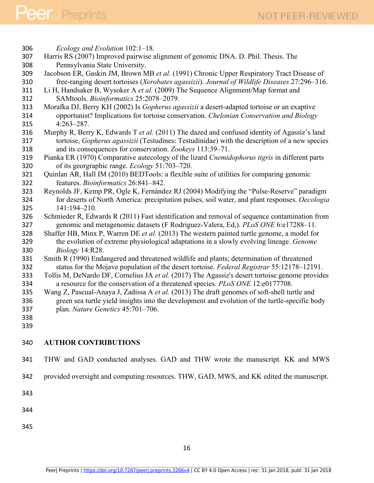*Ecology and Evolution* 102:1–18. Harris RS (2007) Improved pairwise alignment of genomic DNA. D. Phil. Thesis. The Pennsylvania State University. Jacobson ER, Gaskin JM, Brown MB *et al.* (1991) Chronic Upper Respiratory Tract Disease of free-ranging desert tortoises (*Xerobates agassizii*). *Journal of Wildlife Diseases* 27:296–316. Li H, Handsaker B, Wysoker A *et al.* (2009) The Sequence Alignment/Map format and SAMtools. *Bioinformatics* 25:2078–2079. Morafka DJ, Berry KH (2002) Is *Gopherus agassizii* a desert-adapted tortoise or an exaptive opportunist? Implications for tortoise conservation. *Chelonian Conservation and Biology* 4:263–287. Murphy R, Berry K, Edwards T *et al.* (2011) The dazed and confused identity of Agassiz's land tortoise, *Gopherus agassizii* (Testudines: Testudinidae) with the description of a new species and its consequences for conservation. *Zookeys* 113:39–71. Pianka ER (1970) Comparative autecology of the lizard *Cnemidophorus tigris* in different parts of its georgraphic range. *Ecology* 51:703–720. Quinlan AR, Hall IM (2010) BEDTools: a flexible suite of utilities for comparing genomic features. *Bioinformatics* 26:841–842. Reynolds JF, Kemp PR, Ogle K, Fernández RJ (2004) Modifying the "Pulse-Reserve" paradigm for deserts of North America: precipitation pulses, soil water, and plant responses. *Oecologia* 141:194–210. Schmieder R, Edwards R (2011) Fast identification and removal of sequence contamination from genomic and metagenomic datasets (F Rodriguez-Valera, Ed,). *PLoS ONE* 6:e17288–11. Shaffer HB, Minx P, Warren DE *et al.* (2013) The western painted turtle genome, a model for the evolution of extreme physiological adaptations in a slowly evolving lineage. *Genome Biology* 14:R28. Smith R (1990) Endangered and threatened wildlife and plants; determination of threatened status for the Mojave population of the desert tortoise. *Federal Registrar* 55:12178–12191. Tollis M, DeNardo DF, Cornelius JA *et al.* (2017) The Agassiz's desert tortoise genome provides a resource for the conservation of a threatened species. *PLoS ONE* 12:e0177708. Wang Z, Pascual-Anaya J, Zadissa A *et al.* (2013) The draft genomes of soft-shell turtle and green sea turtle yield insights into the development and evolution of the turtle-specific body plan. *Nature Genetics* 45:701–706. **AUTHOR CONTRIBUTIONS** THW and GAD conducted analyses. GAD and THW wrote the manuscript. KK and MWS

provided oversight and computing resources. THW, GAD, MWS, and KK edited the manuscript.